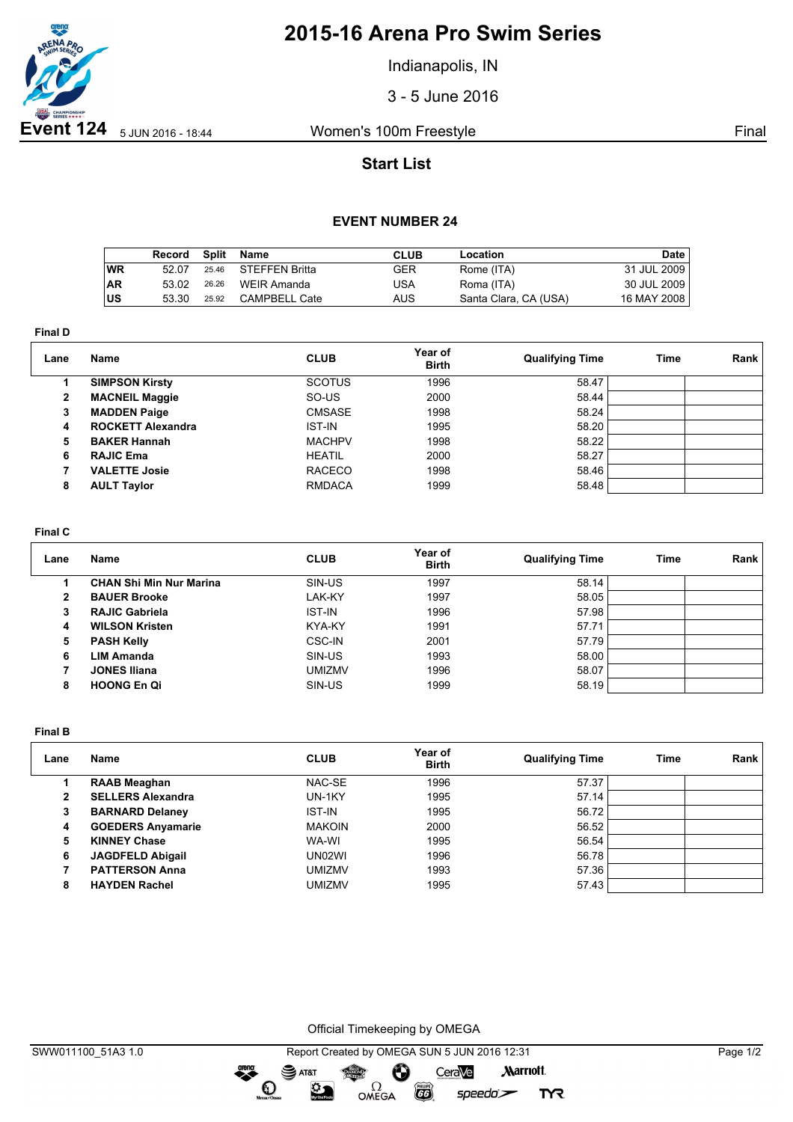

## **2015-16 Arena Pro Swim Series**

Indianapolis, IN

3 - 5 June 2016

## **Start List**

### **EVENT NUMBER 24**

|           | Record |       | Split Name           | CLUB | Location              | Date        |
|-----------|--------|-------|----------------------|------|-----------------------|-------------|
| ∣wR       | 52.07  |       | 25.46 STEFFEN Britta | GER  | Rome (ITA)            | 31 JUL 2009 |
| <b>AR</b> | 53.02  | 26.26 | WEIR Amanda          | USA  | Roma (ITA)            | 30 JUL 2009 |
| ∣US       | 53.30  | 25.92 | CAMPBELL Cate        | AUS  | Santa Clara, CA (USA) | 16 MAY 2008 |

**Final D**

| Lane | <b>Name</b>              | <b>CLUB</b>   | Year of<br><b>Birth</b> | <b>Qualifying Time</b> | Time | Rank |
|------|--------------------------|---------------|-------------------------|------------------------|------|------|
|      | <b>SIMPSON Kirsty</b>    | <b>SCOTUS</b> | 1996                    | 58.47                  |      |      |
| 2    | <b>MACNEIL Maggie</b>    | SO-US         | 2000                    | 58.44                  |      |      |
| 3    | <b>MADDEN Paige</b>      | <b>CMSASE</b> | 1998                    | 58.24                  |      |      |
| 4    | <b>ROCKETT Alexandra</b> | <b>IST-IN</b> | 1995                    | 58.20                  |      |      |
| 5    | <b>BAKER Hannah</b>      | <b>MACHPV</b> | 1998                    | 58.22                  |      |      |
| 6    | <b>RAJIC Ema</b>         | <b>HEATIL</b> | 2000                    | 58.27                  |      |      |
|      | <b>VALETTE Josie</b>     | <b>RACECO</b> | 1998                    | 58.46                  |      |      |
| 8    | <b>AULT Taylor</b>       | <b>RMDACA</b> | 1999                    | 58.48                  |      |      |

### **Final C**

| Lane | <b>Name</b>                    | <b>CLUB</b>   | Year of<br><b>Birth</b> | <b>Qualifying Time</b> | Time | Rank |
|------|--------------------------------|---------------|-------------------------|------------------------|------|------|
|      | <b>CHAN Shi Min Nur Marina</b> | SIN-US        | 1997                    | 58.14                  |      |      |
| 2    | <b>BAUER Brooke</b>            | LAK-KY        | 1997                    | 58.05                  |      |      |
| 3    | <b>RAJIC Gabriela</b>          | <b>IST-IN</b> | 1996                    | 57.98                  |      |      |
| 4    | <b>WILSON Kristen</b>          | KYA-KY        | 1991                    | 57.71                  |      |      |
| 5    | <b>PASH Kelly</b>              | CSC-IN        | 2001                    | 57.79                  |      |      |
| 6    | <b>LIM Amanda</b>              | SIN-US        | 1993                    | 58.00                  |      |      |
|      | <b>JONES Iliana</b>            | <b>UMIZMV</b> | 1996                    | 58.07                  |      |      |
| 8    | <b>HOONG En Qi</b>             | SIN-US        | 1999                    | 58.19                  |      |      |

**Final B**

| Lane | Name                     | <b>CLUB</b>   | Year of<br><b>Birth</b> | <b>Qualifying Time</b> | Time | Rank |
|------|--------------------------|---------------|-------------------------|------------------------|------|------|
|      | <b>RAAB Meaghan</b>      | NAC-SE        | 1996                    | 57.37                  |      |      |
| 2    | <b>SELLERS Alexandra</b> | UN-1KY        | 1995                    | 57.14                  |      |      |
| 3    | <b>BARNARD Delaney</b>   | <b>IST-IN</b> | 1995                    | 56.72                  |      |      |
| 4    | <b>GOEDERS Anyamarie</b> | <b>MAKOIN</b> | 2000                    | 56.52                  |      |      |
| 5    | <b>KINNEY Chase</b>      | WA-WI         | 1995                    | 56.54                  |      |      |
| 6    | <b>JAGDFELD Abigail</b>  | UN02WI        | 1996                    | 56.78                  |      |      |
|      | <b>PATTERSON Anna</b>    | <b>UMIZMV</b> | 1993                    | 57.36                  |      |      |
| 8    | <b>HAYDEN Rachel</b>     | <b>UMIZMV</b> | 1995                    | 57.43                  |      |      |

Official Timekeeping by OMEGA

 $\overline{G}$ 

 $speedo$ 

**TYR** 

dreng:

 $\mathbf{O}$ 

 $\mathfrak{D}$